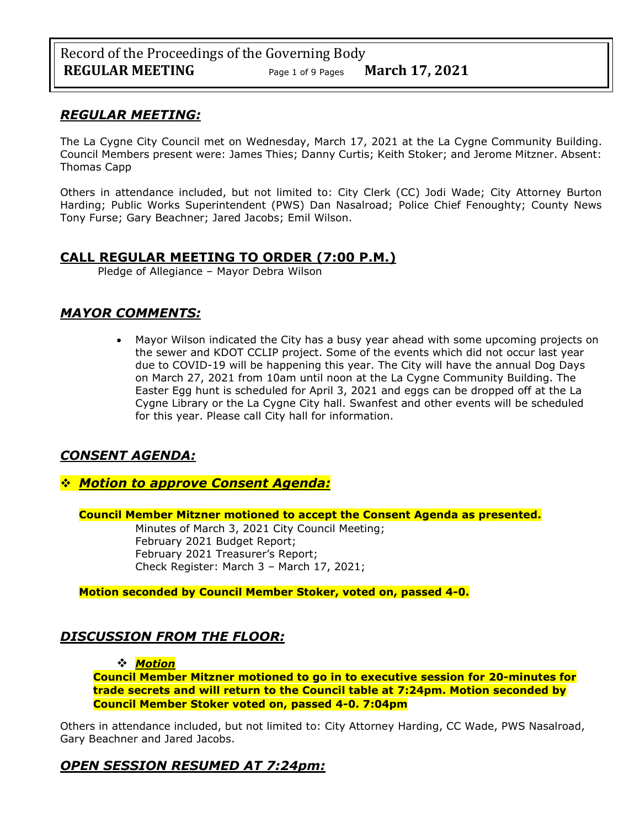## *REGULAR MEETING:*

The La Cygne City Council met on Wednesday, March 17, 2021 at the La Cygne Community Building. Council Members present were: James Thies; Danny Curtis; Keith Stoker; and Jerome Mitzner. Absent: Thomas Capp

Others in attendance included, but not limited to: City Clerk (CC) Jodi Wade; City Attorney Burton Harding; Public Works Superintendent (PWS) Dan Nasalroad; Police Chief Fenoughty; County News Tony Furse; Gary Beachner; Jared Jacobs; Emil Wilson.

## **CALL REGULAR MEETING TO ORDER (7:00 P.M.)**

Pledge of Allegiance – Mayor Debra Wilson

## *MAYOR COMMENTS:*

• Mayor Wilson indicated the City has a busy year ahead with some upcoming projects on the sewer and KDOT CCLIP project. Some of the events which did not occur last year due to COVID-19 will be happening this year. The City will have the annual Dog Days on March 27, 2021 from 10am until noon at the La Cygne Community Building. The Easter Egg hunt is scheduled for April 3, 2021 and eggs can be dropped off at the La Cygne Library or the La Cygne City hall. Swanfest and other events will be scheduled for this year. Please call City hall for information.

## *CONSENT AGENDA:*

❖ *Motion to approve Consent Agenda:*

**Council Member Mitzner motioned to accept the Consent Agenda as presented.**

Minutes of March 3, 2021 City Council Meeting; February 2021 Budget Report; February 2021 Treasurer's Report; Check Register: March 3 – March 17, 2021;

**Motion seconded by Council Member Stoker, voted on, passed 4-0.** 

## *DISCUSSION FROM THE FLOOR:*

### ❖ *Motion*

**Council Member Mitzner motioned to go in to executive session for 20-minutes for trade secrets and will return to the Council table at 7:24pm. Motion seconded by Council Member Stoker voted on, passed 4-0. 7:04pm**

Others in attendance included, but not limited to: City Attorney Harding, CC Wade, PWS Nasalroad, Gary Beachner and Jared Jacobs.

## *OPEN SESSION RESUMED AT 7:24pm:*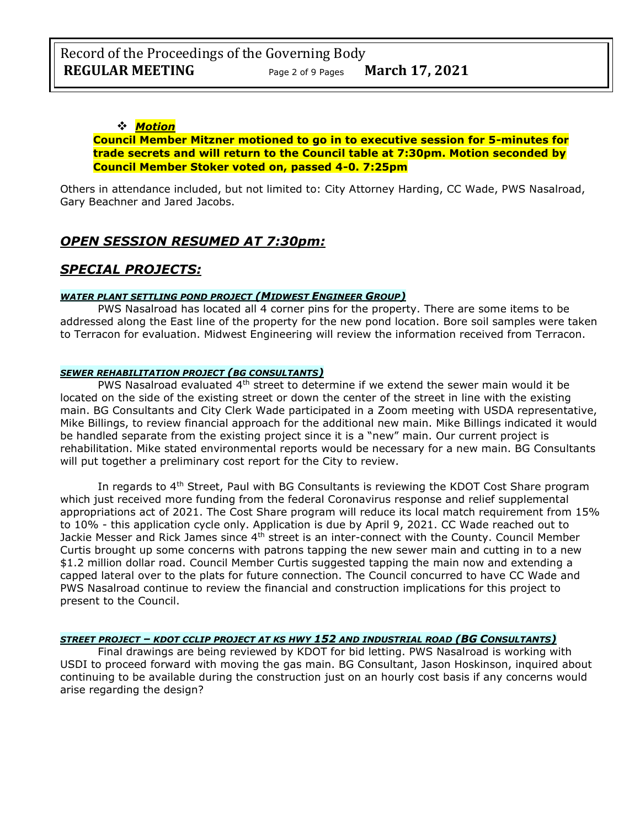### ❖ *Motion*

### **Council Member Mitzner motioned to go in to executive session for 5-minutes for trade secrets and will return to the Council table at 7:30pm. Motion seconded by Council Member Stoker voted on, passed 4-0. 7:25pm**

Others in attendance included, but not limited to: City Attorney Harding, CC Wade, PWS Nasalroad, Gary Beachner and Jared Jacobs.

## *OPEN SESSION RESUMED AT 7:30pm:*

## *SPECIAL PROJECTS:*

### *WATER PLANT SETTLING POND PROJECT (MIDWEST ENGINEER GROUP)*

PWS Nasalroad has located all 4 corner pins for the property. There are some items to be addressed along the East line of the property for the new pond location. Bore soil samples were taken to Terracon for evaluation. Midwest Engineering will review the information received from Terracon.

#### *SEWER REHABILITATION PROJECT (BG CONSULTANTS)*

PWS Nasalroad evaluated  $4<sup>th</sup>$  street to determine if we extend the sewer main would it be located on the side of the existing street or down the center of the street in line with the existing main. BG Consultants and City Clerk Wade participated in a Zoom meeting with USDA representative, Mike Billings, to review financial approach for the additional new main. Mike Billings indicated it would be handled separate from the existing project since it is a "new" main. Our current project is rehabilitation. Mike stated environmental reports would be necessary for a new main. BG Consultants will put together a preliminary cost report for the City to review.

In regards to  $4<sup>th</sup>$  Street, Paul with BG Consultants is reviewing the KDOT Cost Share program which just received more funding from the federal Coronavirus response and relief supplemental appropriations act of 2021. The Cost Share program will reduce its local match requirement from 15% to 10% - this application cycle only. Application is due by April 9, 2021. CC Wade reached out to Jackie Messer and Rick James since 4<sup>th</sup> street is an inter-connect with the County. Council Member Curtis brought up some concerns with patrons tapping the new sewer main and cutting in to a new \$1.2 million dollar road. Council Member Curtis suggested tapping the main now and extending a capped lateral over to the plats for future connection. The Council concurred to have CC Wade and PWS Nasalroad continue to review the financial and construction implications for this project to present to the Council.

#### *STREET PROJECT – KDOT CCLIP PROJECT AT KS HWY 152 AND INDUSTRIAL ROAD (BG CONSULTANTS)*

Final drawings are being reviewed by KDOT for bid letting. PWS Nasalroad is working with USDI to proceed forward with moving the gas main. BG Consultant, Jason Hoskinson, inquired about continuing to be available during the construction just on an hourly cost basis if any concerns would arise regarding the design?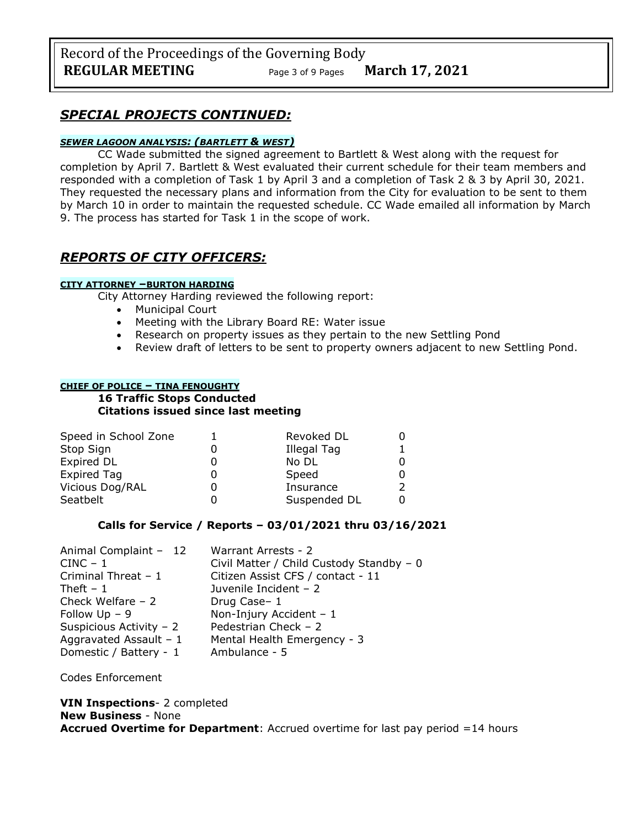Record of the Proceedings of the Governing Body **REGULAR MEETING** Page <sup>3</sup> of 9 Pages **March 17, 2021**

## *SPECIAL PROJECTS CONTINUED:*

### *SEWER LAGOON ANALYSIS: (BARTLETT & WEST)*

CC Wade submitted the signed agreement to Bartlett & West along with the request for completion by April 7. Bartlett & West evaluated their current schedule for their team members and responded with a completion of Task 1 by April 3 and a completion of Task 2 & 3 by April 30, 2021. They requested the necessary plans and information from the City for evaluation to be sent to them by March 10 in order to maintain the requested schedule. CC Wade emailed all information by March 9. The process has started for Task 1 in the scope of work.

## *REPORTS OF CITY OFFICERS:*

#### **CITY ATTORNEY –BURTON HARDING**

City Attorney Harding reviewed the following report:

- Municipal Court
- Meeting with the Library Board RE: Water issue
- Research on property issues as they pertain to the new Settling Pond
- Review draft of letters to be sent to property owners adjacent to new Settling Pond.

#### **CHIEF OF POLICE – TINA FENOUGHTY**

#### **16 Traffic Stops Conducted Citations issued since last meeting**

| Speed in School Zone | Revoked DL   |  |
|----------------------|--------------|--|
| Stop Sign            | Illegal Tag  |  |
| Expired DL           | No DL        |  |
| <b>Expired Tag</b>   | Speed        |  |
| Vicious Dog/RAL      | Insurance    |  |
| Seatbelt             | Suspended DL |  |

### **Calls for Service / Reports – 03/01/2021 thru 03/16/2021**

| Animal Complaint - 12    | Warrant Arrests - 2                      |
|--------------------------|------------------------------------------|
| $CINC - 1$               | Civil Matter / Child Custody Standby - 0 |
| Criminal Threat - 1      | Citizen Assist CFS / contact - 11        |
| Theft $-1$               | Juvenile Incident - 2                    |
| Check Welfare $-2$       | Drug Case-1                              |
| Follow $Up - 9$          | Non-Injury Accident $-1$                 |
| Suspicious Activity - 2  | Pedestrian Check - 2                     |
| Aggravated Assault - $1$ | Mental Health Emergency - 3              |
| Domestic / Battery - 1   | Ambulance - 5                            |

Codes Enforcement

#### **VIN Inspections**- 2 completed **New Business** - None **Accrued Overtime for Department**: Accrued overtime for last pay period =14 hours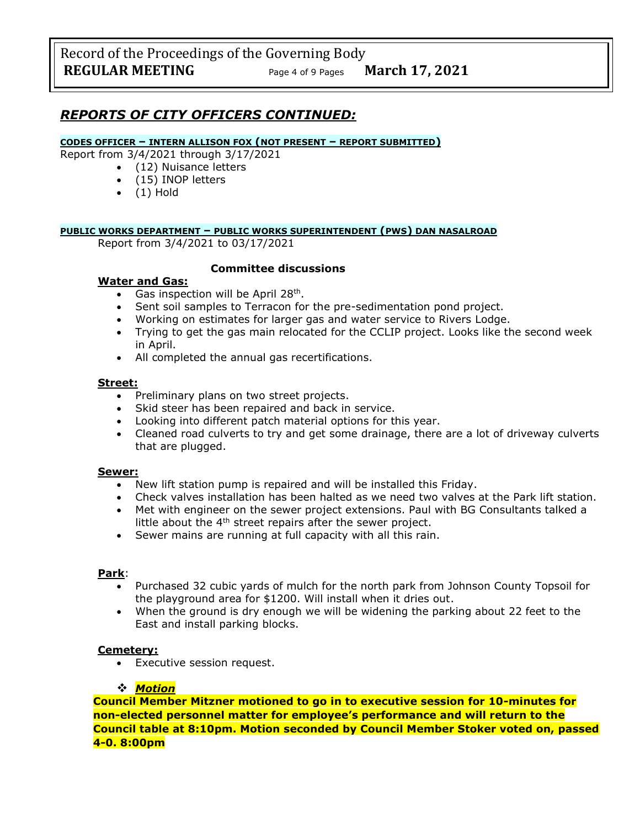## *REPORTS OF CITY OFFICERS CONTINUED:*

#### **CODES OFFICER – INTERN ALLISON FOX (NOT PRESENT – REPORT SUBMITTED)**

Report from 3/4/2021 through 3/17/2021

- (12) Nuisance letters
	- (15) INOP letters
	- $\bullet$  (1) Hold

### **PUBLIC WORKS DEPARTMENT – PUBLIC WORKS SUPERINTENDENT (PWS) DAN NASALROAD**

Report from 3/4/2021 to 03/17/2021

### **Committee discussions**

### **Water and Gas:**

- Gas inspection will be April 28<sup>th</sup>.
- Sent soil samples to Terracon for the pre-sedimentation pond project.
- Working on estimates for larger gas and water service to Rivers Lodge.
- Trying to get the gas main relocated for the CCLIP project. Looks like the second week in April.
- All completed the annual gas recertifications.

### **Street:**

- Preliminary plans on two street projects.
- Skid steer has been repaired and back in service.
- Looking into different patch material options for this year.
- Cleaned road culverts to try and get some drainage, there are a lot of driveway culverts that are plugged.

#### **Sewer:**

- New lift station pump is repaired and will be installed this Friday.
- Check valves installation has been halted as we need two valves at the Park lift station.
- Met with engineer on the sewer project extensions. Paul with BG Consultants talked a little about the  $4<sup>th</sup>$  street repairs after the sewer project.
- Sewer mains are running at full capacity with all this rain.

#### **Park**:

- Purchased 32 cubic yards of mulch for the north park from Johnson County Topsoil for the playground area for \$1200. Will install when it dries out.
- When the ground is dry enough we will be widening the parking about 22 feet to the East and install parking blocks.

### **Cemetery:**

• Executive session request.

### ❖ *Motion*

**Council Member Mitzner motioned to go in to executive session for 10-minutes for non-elected personnel matter for employee's performance and will return to the Council table at 8:10pm. Motion seconded by Council Member Stoker voted on, passed 4-0. 8:00pm**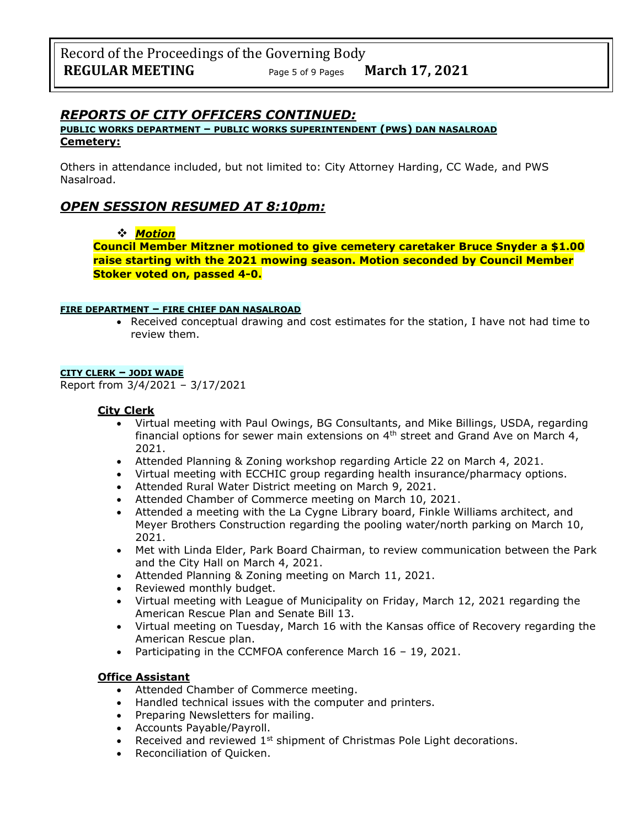## *REPORTS OF CITY OFFICERS CONTINUED:*

### **PUBLIC WORKS DEPARTMENT – PUBLIC WORKS SUPERINTENDENT (PWS) DAN NASALROAD Cemetery:**

Others in attendance included, but not limited to: City Attorney Harding, CC Wade, and PWS Nasalroad.

## *OPEN SESSION RESUMED AT 8:10pm:*

### ❖ *Motion*

**Council Member Mitzner motioned to give cemetery caretaker Bruce Snyder a \$1.00 raise starting with the 2021 mowing season. Motion seconded by Council Member Stoker voted on, passed 4-0.**

### **FIRE DEPARTMENT – FIRE CHIEF DAN NASALROAD**

• Received conceptual drawing and cost estimates for the station, I have not had time to review them.

### **CITY CLERK – JODI WADE**

Report from 3/4/2021 – 3/17/2021

### **City Clerk**

- Virtual meeting with Paul Owings, BG Consultants, and Mike Billings, USDA, regarding financial options for sewer main extensions on  $4<sup>th</sup>$  street and Grand Ave on March 4, 2021.
- Attended Planning & Zoning workshop regarding Article 22 on March 4, 2021.
- Virtual meeting with ECCHIC group regarding health insurance/pharmacy options.
- Attended Rural Water District meeting on March 9, 2021.
- Attended Chamber of Commerce meeting on March 10, 2021.
- Attended a meeting with the La Cygne Library board, Finkle Williams architect, and Meyer Brothers Construction regarding the pooling water/north parking on March 10, 2021.
- Met with Linda Elder, Park Board Chairman, to review communication between the Park and the City Hall on March 4, 2021.
- Attended Planning & Zoning meeting on March 11, 2021.
- Reviewed monthly budget.
- Virtual meeting with League of Municipality on Friday, March 12, 2021 regarding the American Rescue Plan and Senate Bill 13.
- Virtual meeting on Tuesday, March 16 with the Kansas office of Recovery regarding the American Rescue plan.
- Participating in the CCMFOA conference March 16 19, 2021.

### **Office Assistant**

- Attended Chamber of Commerce meeting.
- Handled technical issues with the computer and printers.
- Preparing Newsletters for mailing.
- Accounts Payable/Payroll.
- Received and reviewed 1<sup>st</sup> shipment of Christmas Pole Light decorations.
- Reconciliation of Quicken.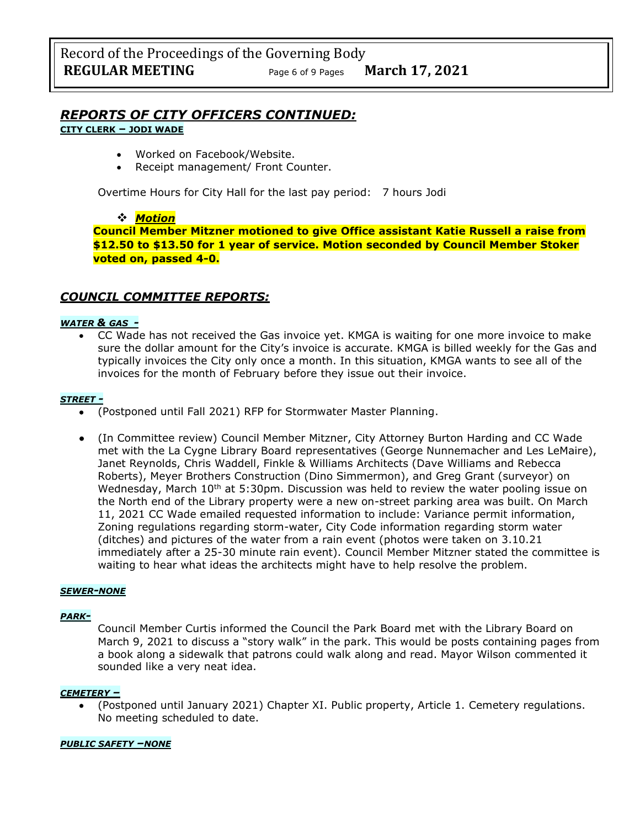# *REPORTS OF CITY OFFICERS CONTINUED:*

### **CITY CLERK – JODI WADE**

- Worked on Facebook/Website.
- Receipt management/ Front Counter.

Overtime Hours for City Hall for the last pay period: 7 hours Jodi

### ❖ *Motion*

**Council Member Mitzner motioned to give Office assistant Katie Russell a raise from \$12.50 to \$13.50 for 1 year of service. Motion seconded by Council Member Stoker voted on, passed 4-0.**

## *COUNCIL COMMITTEE REPORTS:*

### *WATER & GAS -*

• CC Wade has not received the Gas invoice yet. KMGA is waiting for one more invoice to make sure the dollar amount for the City's invoice is accurate. KMGA is billed weekly for the Gas and typically invoices the City only once a month. In this situation, KMGA wants to see all of the invoices for the month of February before they issue out their invoice.

#### *STREET -*

- (Postponed until Fall 2021) RFP for Stormwater Master Planning.
- (In Committee review) Council Member Mitzner, City Attorney Burton Harding and CC Wade met with the La Cygne Library Board representatives (George Nunnemacher and Les LeMaire), Janet Reynolds, Chris Waddell, Finkle & Williams Architects (Dave Williams and Rebecca Roberts), Meyer Brothers Construction (Dino Simmermon), and Greg Grant (surveyor) on Wednesday, March  $10<sup>th</sup>$  at 5:30pm. Discussion was held to review the water pooling issue on the North end of the Library property were a new on-street parking area was built. On March 11, 2021 CC Wade emailed requested information to include: Variance permit information, Zoning regulations regarding storm-water, City Code information regarding storm water (ditches) and pictures of the water from a rain event (photos were taken on 3.10.21 immediately after a 25-30 minute rain event). Council Member Mitzner stated the committee is waiting to hear what ideas the architects might have to help resolve the problem.

#### *SEWER-NONE*

### *PARK-*

Council Member Curtis informed the Council the Park Board met with the Library Board on March 9, 2021 to discuss a "story walk" in the park. This would be posts containing pages from a book along a sidewalk that patrons could walk along and read. Mayor Wilson commented it sounded like a very neat idea.

#### *CEMETERY –*

• (Postponed until January 2021) Chapter XI. Public property, Article 1. Cemetery regulations. No meeting scheduled to date.

#### *PUBLIC SAFETY –NONE*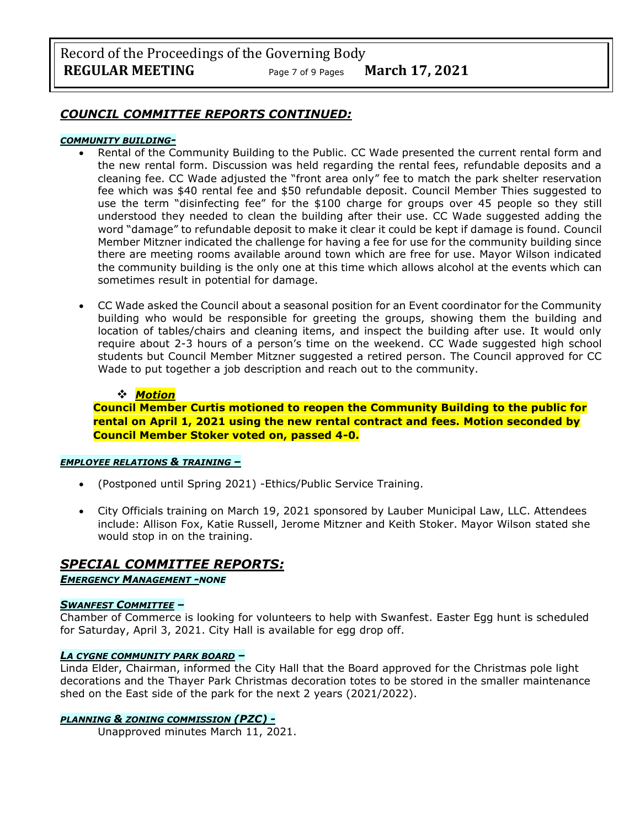Record of the Proceedings of the Governing Body **REGULAR MEETING** Page <sup>7</sup> of 9 Pages **March 17, 2021**

### *COUNCIL COMMITTEE REPORTS CONTINUED:*

#### *COMMUNITY BUILDING-*

- Rental of the Community Building to the Public. CC Wade presented the current rental form and the new rental form. Discussion was held regarding the rental fees, refundable deposits and a cleaning fee. CC Wade adjusted the "front area only" fee to match the park shelter reservation fee which was \$40 rental fee and \$50 refundable deposit. Council Member Thies suggested to use the term "disinfecting fee" for the \$100 charge for groups over 45 people so they still understood they needed to clean the building after their use. CC Wade suggested adding the word "damage" to refundable deposit to make it clear it could be kept if damage is found. Council Member Mitzner indicated the challenge for having a fee for use for the community building since there are meeting rooms available around town which are free for use. Mayor Wilson indicated the community building is the only one at this time which allows alcohol at the events which can sometimes result in potential for damage.
- CC Wade asked the Council about a seasonal position for an Event coordinator for the Community building who would be responsible for greeting the groups, showing them the building and location of tables/chairs and cleaning items, and inspect the building after use. It would only require about 2-3 hours of a person's time on the weekend. CC Wade suggested high school students but Council Member Mitzner suggested a retired person. The Council approved for CC Wade to put together a job description and reach out to the community.

#### ❖ *Motion*

**Council Member Curtis motioned to reopen the Community Building to the public for rental on April 1, 2021 using the new rental contract and fees. Motion seconded by Council Member Stoker voted on, passed 4-0.**

#### *EMPLOYEE RELATIONS & TRAINING –*

- (Postponed until Spring 2021) -Ethics/Public Service Training.
- City Officials training on March 19, 2021 sponsored by Lauber Municipal Law, LLC. Attendees include: Allison Fox, Katie Russell, Jerome Mitzner and Keith Stoker. Mayor Wilson stated she would stop in on the training.

## *SPECIAL COMMITTEE REPORTS:*

*EMERGENCY MANAGEMENT -NONE*

### *SWANFEST COMMITTEE –*

Chamber of Commerce is looking for volunteers to help with Swanfest. Easter Egg hunt is scheduled for Saturday, April 3, 2021. City Hall is available for egg drop off.

#### *LA CYGNE COMMUNITY PARK BOARD –*

Linda Elder, Chairman, informed the City Hall that the Board approved for the Christmas pole light decorations and the Thayer Park Christmas decoration totes to be stored in the smaller maintenance shed on the East side of the park for the next 2 years (2021/2022).

#### *PLANNING & ZONING COMMISSION (PZC) -*

Unapproved minutes March 11, 2021.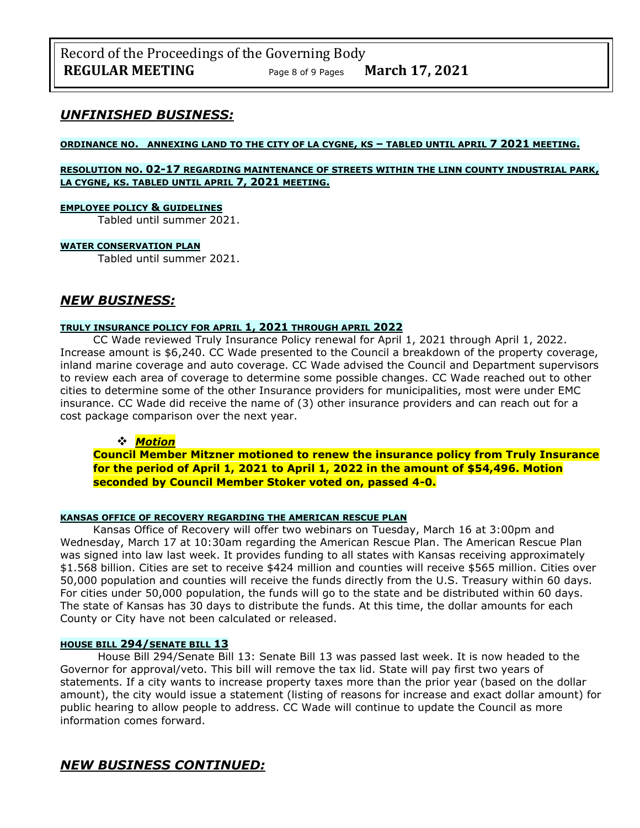### *UNFINISHED BUSINESS:*

#### **ORDINANCE NO. ANNEXING LAND TO THE CITY OF LA CYGNE, KS – TABLED UNTIL APRIL 7 2021 MEETING.**

#### **RESOLUTION NO. 02-17 REGARDING MAINTENANCE OF STREETS WITHIN THE LINN COUNTY INDUSTRIAL PARK, LA CYGNE, KS. TABLED UNTIL APRIL 7, 2021 MEETING.**

#### **EMPLOYEE POLICY & GUIDELINES**

Tabled until summer 2021.

#### **WATER CONSERVATION PLAN**

Tabled until summer 2021.

## *NEW BUSINESS:*

### **TRULY INSURANCE POLICY FOR APRIL 1, 2021 THROUGH APRIL 2022**

CC Wade reviewed Truly Insurance Policy renewal for April 1, 2021 through April 1, 2022. Increase amount is \$6,240. CC Wade presented to the Council a breakdown of the property coverage, inland marine coverage and auto coverage. CC Wade advised the Council and Department supervisors to review each area of coverage to determine some possible changes. CC Wade reached out to other cities to determine some of the other Insurance providers for municipalities, most were under EMC insurance. CC Wade did receive the name of (3) other insurance providers and can reach out for a cost package comparison over the next year.

#### ❖ *Motion*

**Council Member Mitzner motioned to renew the insurance policy from Truly Insurance for the period of April 1, 2021 to April 1, 2022 in the amount of \$54,496. Motion seconded by Council Member Stoker voted on, passed 4-0.**

#### **KANSAS OFFICE OF RECOVERY REGARDING THE AMERICAN RESCUE PLAN**

Kansas Office of Recovery will offer two webinars on Tuesday, March 16 at 3:00pm and Wednesday, March 17 at 10:30am regarding the American Rescue Plan. The American Rescue Plan was signed into law last week. It provides funding to all states with Kansas receiving approximately \$1.568 billion. Cities are set to receive \$424 million and counties will receive \$565 million. Cities over 50,000 population and counties will receive the funds directly from the U.S. Treasury within 60 days. For cities under 50,000 population, the funds will go to the state and be distributed within 60 days. The state of Kansas has 30 days to distribute the funds. At this time, the dollar amounts for each County or City have not been calculated or released.

### **HOUSE BILL 294/SENATE BILL 13**

House Bill 294/Senate Bill 13: Senate Bill 13 was passed last week. It is now headed to the Governor for approval/veto. This bill will remove the tax lid. State will pay first two years of statements. If a city wants to increase property taxes more than the prior year (based on the dollar amount), the city would issue a statement (listing of reasons for increase and exact dollar amount) for public hearing to allow people to address. CC Wade will continue to update the Council as more information comes forward.

## *NEW BUSINESS CONTINUED:*